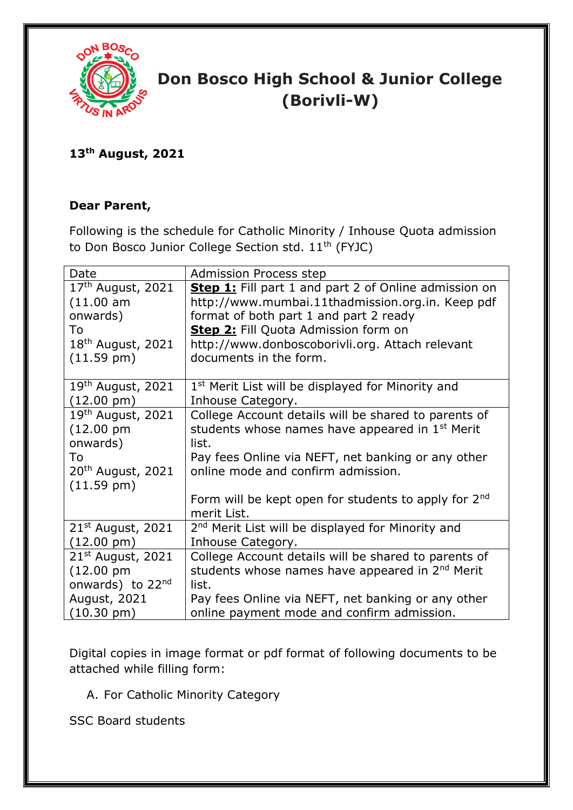

## **Don Bosco High School & Junior College (Borivli-W)**

## **13th August, 2021**

## **Dear Parent,**

Following is the schedule for Catholic Minority / Inhouse Quota admission to Don Bosco Junior College Section std. 11<sup>th</sup> (FYJC)

| Date                         | <b>Admission Process step</b>                                 |
|------------------------------|---------------------------------------------------------------|
| $17th$ August, 2021          | <b>Step 1:</b> Fill part 1 and part 2 of Online admission on  |
| (11.00 am                    | http://www.mumbai.11thadmission.org.in. Keep pdf              |
| onwards)                     | format of both part 1 and part 2 ready                        |
| To                           | <b>Step 2:</b> Fill Quota Admission form on                   |
| $18th$ August, 2021          | http://www.donboscoborivli.org. Attach relevant               |
| $(11.59 \text{ pm})$         | documents in the form.                                        |
|                              |                                                               |
| $19th$ August, 2021          | 1 <sup>st</sup> Merit List will be displayed for Minority and |
| $(12.00 \text{ pm})$         | Inhouse Category.                                             |
| $19th$ August, 2021          | College Account details will be shared to parents of          |
| $(12.00 \text{ pm})$         | students whose names have appeared in 1 <sup>st</sup> Merit   |
| onwards)                     | list.                                                         |
| To                           | Pay fees Online via NEFT, net banking or any other            |
| $20th$ August, 2021          | online mode and confirm admission.                            |
| $(11.59 \text{ pm})$         |                                                               |
|                              | Form will be kept open for students to apply for $2^{nd}$     |
|                              | merit List.                                                   |
| $21st$ August, 2021          | 2 <sup>nd</sup> Merit List will be displayed for Minority and |
| $(12.00 \text{ pm})$         | Inhouse Category.                                             |
| $21st$ August, 2021          | College Account details will be shared to parents of          |
| $(12.00 \text{ pm})$         | students whose names have appeared in 2 <sup>nd</sup> Merit   |
| onwards) to 22 <sup>nd</sup> | list.                                                         |
| <b>August, 2021</b>          | Pay fees Online via NEFT, net banking or any other            |
| $(10.30 \text{ pm})$         | online payment mode and confirm admission.                    |

Digital copies in image format or pdf format of following documents to be attached while filling form:

A. For Catholic Minority Category

SSC Board students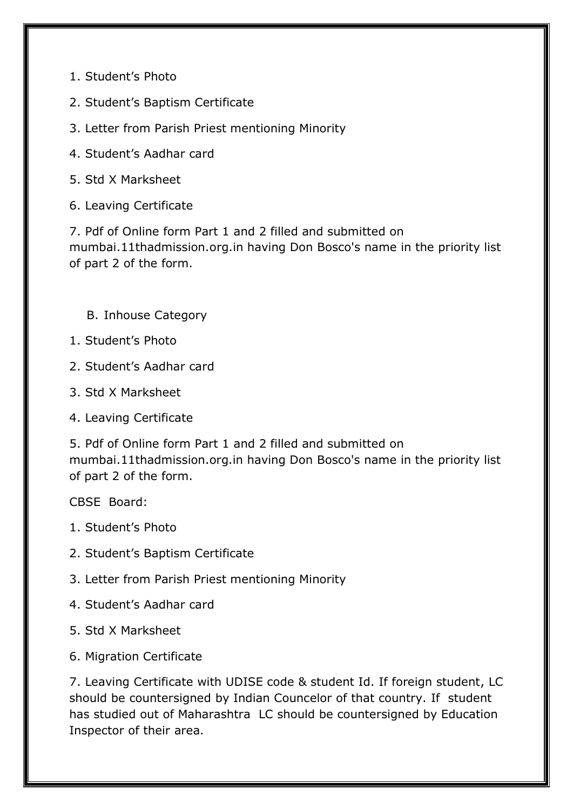1. Student's Photo

2. Student's Baptism Certificate

3. Letter from Parish Priest mentioning Minority

4. Student's Aadhar card

5. Std X Marksheet

6. Leaving Certificate

7. Pdf of Online form Part 1 and 2 filled and submitted on mumbai.11thadmission.org.in having Don Bosco's name in the priority list of part 2 of the form.

B. Inhouse Category

1. Student's Photo

2. Student's Aadhar card

3. Std X Marksheet

4. Leaving Certificate

5. Pdf of Online form Part 1 and 2 filled and submitted on mumbai.11thadmission.org.in having Don Bosco's name in the priority list of part 2 of the form.

CBSE Board:

1. Student's Photo

2. Student's Baptism Certificate

3. Letter from Parish Priest mentioning Minority

4. Student's Aadhar card

5. Std X Marksheet

6. Migration Certificate

7. Leaving Certificate with UDISE code & student Id. If foreign student, LC should be countersigned by Indian Councelor of that country. If student has studied out of Maharashtra LC should be countersigned by Education Inspector of their area.